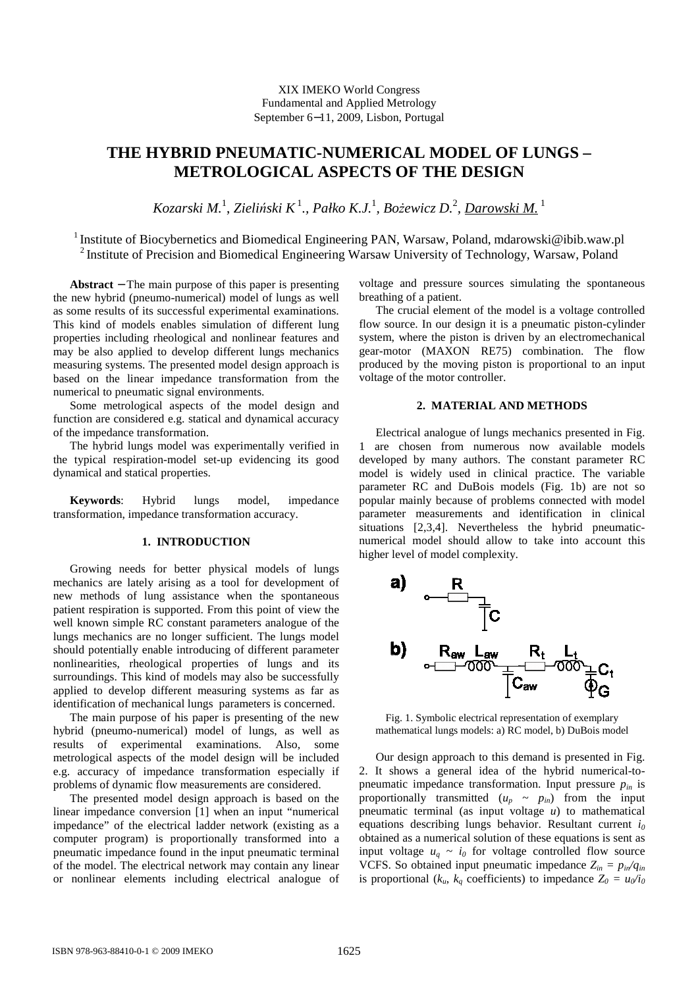XIX IMEKO World Congress Fundamental and Applied Metrology September 6−11, 2009, Lisbon, Portugal

# **THE HYBRID PNEUMATIC-NUMERICAL MODEL OF LUNGS – METROLOGICAL ASPECTS OF THE DESIGN**

 $K$ ozarski M.<sup>1</sup>, Zieliński K $^1$ ., Pałko K.J.<sup>1</sup>, Bożewicz D.<sup>2</sup>, <u>Darowski M.</u> <sup>1</sup>

<sup>1</sup> Institute of Biocybernetics and Biomedical Engineering PAN, Warsaw, Poland, mdarowski@ibib.waw.pl <sup>2</sup> Institute of Precision and Biomedical Engineering Warsaw University of Technology, Warsaw, Poland

**Abstract** − The main purpose of this paper is presenting the new hybrid (pneumo-numerical) model of lungs as well as some results of its successful experimental examinations. This kind of models enables simulation of different lung properties including rheological and nonlinear features and may be also applied to develop different lungs mechanics measuring systems. The presented model design approach is based on the linear impedance transformation from the numerical to pneumatic signal environments.

Some metrological aspects of the model design and function are considered e.g. statical and dynamical accuracy of the impedance transformation.

The hybrid lungs model was experimentally verified in the typical respiration-model set-up evidencing its good dynamical and statical properties.

**Keywords**: Hybrid lungs model, impedance transformation, impedance transformation accuracy.

### **1. INTRODUCTION**

Growing needs for better physical models of lungs mechanics are lately arising as a tool for development of new methods of lung assistance when the spontaneous patient respiration is supported. From this point of view the well known simple RC constant parameters analogue of the lungs mechanics are no longer sufficient. The lungs model should potentially enable introducing of different parameter nonlinearities, rheological properties of lungs and its surroundings. This kind of models may also be successfully applied to develop different measuring systems as far as identification of mechanical lungs parameters is concerned.

The main purpose of his paper is presenting of the new hybrid (pneumo-numerical) model of lungs, as well as results of experimental examinations. Also, some metrological aspects of the model design will be included e.g. accuracy of impedance transformation especially if problems of dynamic flow measurements are considered.

The presented model design approach is based on the linear impedance conversion [1] when an input "numerical impedance" of the electrical ladder network (existing as a computer program) is proportionally transformed into a pneumatic impedance found in the input pneumatic terminal of the model. The electrical network may contain any linear or nonlinear elements including electrical analogue of voltage and pressure sources simulating the spontaneous breathing of a patient.

The crucial element of the model is a voltage controlled flow source. In our design it is a pneumatic piston-cylinder system, where the piston is driven by an electromechanical gear-motor (MAXON RE75) combination. The flow produced by the moving piston is proportional to an input voltage of the motor controller.

## **2. MATERIAL AND METHODS**

Electrical analogue of lungs mechanics presented in Fig. 1 are chosen from numerous now available models developed by many authors. The constant parameter RC model is widely used in clinical practice. The variable parameter RC and DuBois models (Fig. 1b) are not so popular mainly because of problems connected with model parameter measurements and identification in clinical situations [2,3,4]. Nevertheless the hybrid pneumaticnumerical model should allow to take into account this higher level of model complexity.



Fig. 1. Symbolic electrical representation of exemplary mathematical lungs models: a) RC model, b) DuBois model

Our design approach to this demand is presented in Fig. 2. It shows a general idea of the hybrid numerical-topneumatic impedance transformation. Input pressure  $p_{in}$  is proportionally transmitted  $(u_p \sim p_{in})$  from the input pneumatic terminal (as input voltage *u*) to mathematical equations describing lungs behavior. Resultant current *i<sup>0</sup>* obtained as a numerical solution of these equations is sent as input voltage  $u_q \sim i_0$  for voltage controlled flow source VCFS. So obtained input pneumatic impedance  $Z_{in} = p_{in}/q_{in}$ is proportional ( $k_u$ ,  $k_a$  coefficients) to impedance  $Z_0 = u_0/i_0$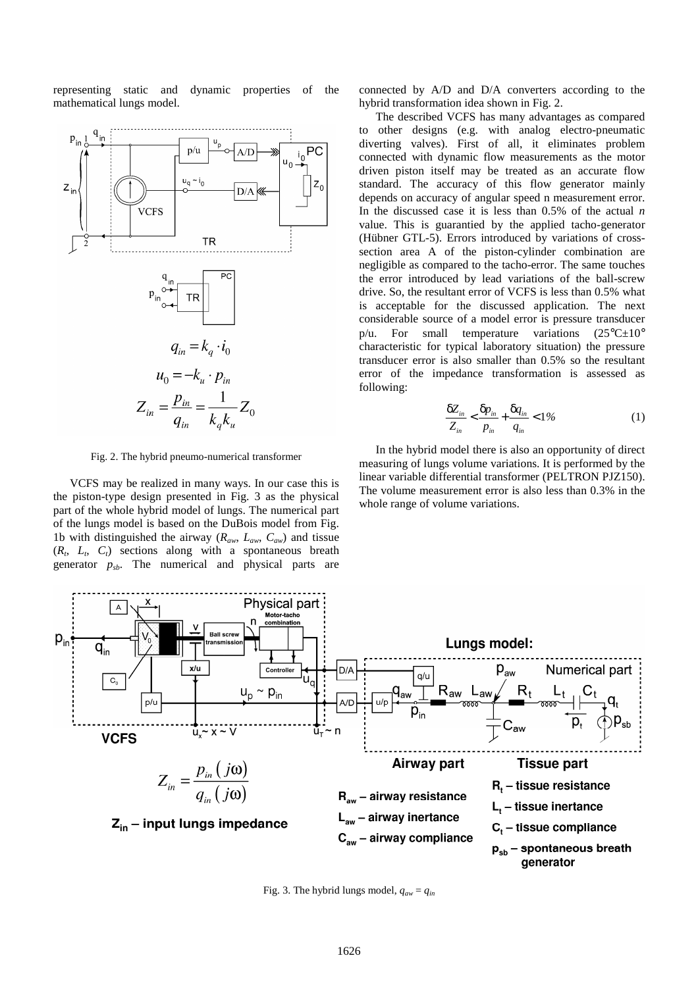representing static and dynamic properties of the mathematical lungs model.



Fig. 2. The hybrid pneumo-numerical transformer

VCFS may be realized in many ways. In our case this is the piston-type design presented in Fig. 3 as the physical part of the whole hybrid model of lungs. The numerical part of the lungs model is based on the DuBois model from Fig. 1b with distinguished the airway ( $R_{aw}$ ,  $L_{aw}$ ,  $C_{aw}$ ) and tissue  $(R_t, L_t, C_t)$  sections along with a spontaneous breath generator *psb*. The numerical and physical parts are

connected by A/D and D/A converters according to the hybrid transformation idea shown in Fig. 2.

The described VCFS has many advantages as compared to other designs (e.g. with analog electro-pneumatic diverting valves). First of all, it eliminates problem connected with dynamic flow measurements as the motor driven piston itself may be treated as an accurate flow standard. The accuracy of this flow generator mainly depends on accuracy of angular speed n measurement error. In the discussed case it is less than 0.5% of the actual *n* value. This is guarantied by the applied tacho-generator (Hübner GTL-5). Errors introduced by variations of crosssection area A of the piston-cylinder combination are negligible as compared to the tacho-error. The same touches the error introduced by lead variations of the ball-screw drive. So, the resultant error of VCFS is less than 0.5% what is acceptable for the discussed application. The next considerable source of a model error is pressure transducer p/u. For small temperature variations  $(25^{\circ}C \pm 10^{\circ})$ characteristic for typical laboratory situation) the pressure transducer error is also smaller than 0.5% so the resultant error of the impedance transformation is assessed as following:

$$
\frac{\delta Z_{in}}{Z_{in}} < \frac{\delta p_{in}}{p_{in}} + \frac{\delta q_{in}}{q_{in}} < 1\%
$$
 (1)

In the hybrid model there is also an opportunity of direct measuring of lungs volume variations. It is performed by the linear variable differential transformer (PELTRON PJZ150). The volume measurement error is also less than 0.3% in the whole range of volume variations.



Fig. 3. The hybrid lungs model,  $q_{aw} = q_{in}$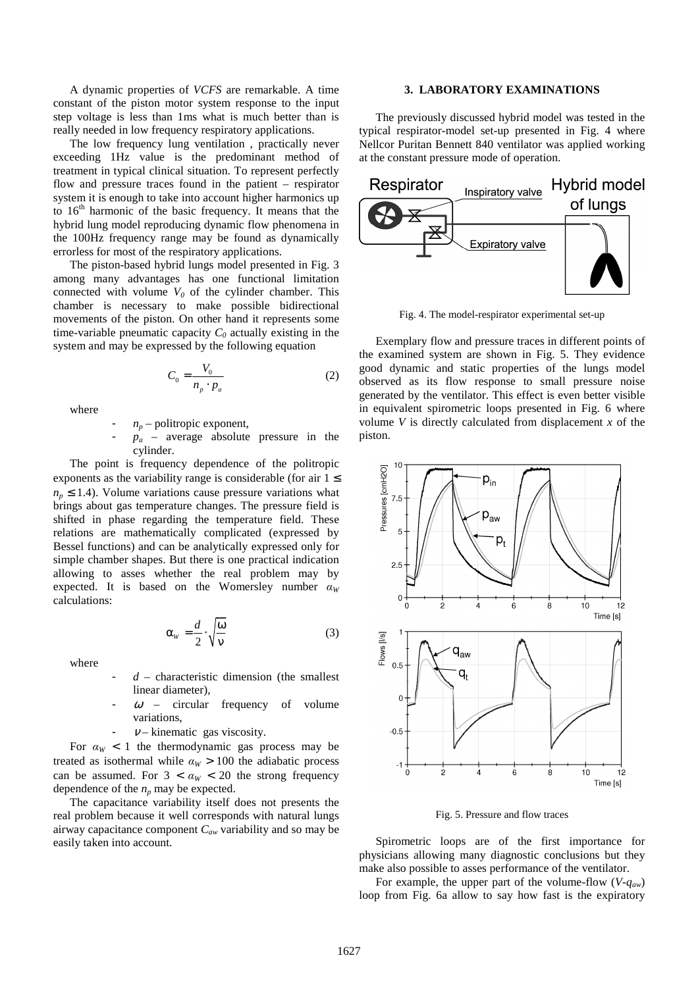A dynamic properties of *VCFS* are remarkable. A time constant of the piston motor system response to the input step voltage is less than 1ms what is much better than is really needed in low frequency respiratory applications.

The low frequency lung ventilation , practically never exceeding 1Hz value is the predominant method of treatment in typical clinical situation. To represent perfectly flow and pressure traces found in the patient – respirator system it is enough to take into account higher harmonics up to  $16<sup>th</sup>$  harmonic of the basic frequency. It means that the hybrid lung model reproducing dynamic flow phenomena in the 100Hz frequency range may be found as dynamically errorless for most of the respiratory applications.

The piston-based hybrid lungs model presented in Fig. 3 among many advantages has one functional limitation connected with volume  $V_0$  of the cylinder chamber. This chamber is necessary to make possible bidirectional movements of the piston. On other hand it represents some time-variable pneumatic capacity  $C_0$  actually existing in the system and may be expressed by the following equation

$$
C_0 = \frac{V_0}{n_p \cdot p_a} \tag{2}
$$

where

 $n_p$  – politropic exponent,

 $p_a$  – average absolute pressure in the cylinder.

The point is frequency dependence of the politropic exponents as the variability range is considerable (for air  $1 \le$  $n_p \leq 1.4$ ). Volume variations cause pressure variations what brings about gas temperature changes. The pressure field is shifted in phase regarding the temperature field. These relations are mathematically complicated (expressed by Bessel functions) and can be analytically expressed only for simple chamber shapes. But there is one practical indication allowing to asses whether the real problem may by expected. It is based on the Womersley number  $\alpha_W$ calculations:

$$
\alpha_w = \frac{d}{2} \cdot \sqrt{\frac{\omega}{v}}
$$
 (3)

where

- $d$  characteristic dimension (the smallest linear diameter),
- $\omega$  circular frequency of volume variations,
- $\nu$  kinematic gas viscosity.

For  $\alpha_W < 1$  the thermodynamic gas process may be treated as isothermal while  $\alpha_W > 100$  the adiabatic process can be assumed. For  $3 < \alpha_W < 20$  the strong frequency dependence of the  $n_p$  may be expected.

The capacitance variability itself does not presents the real problem because it well corresponds with natural lungs airway capacitance component *Caw* variability and so may be easily taken into account.

#### **3. LABORATORY EXAMINATIONS**

The previously discussed hybrid model was tested in the typical respirator-model set-up presented in Fig. 4 where Nellcor Puritan Bennett 840 ventilator was applied working at the constant pressure mode of operation.



Fig. 4. The model-respirator experimental set-up

Exemplary flow and pressure traces in different points of the examined system are shown in Fig. 5. They evidence good dynamic and static properties of the lungs model observed as its flow response to small pressure noise generated by the ventilator. This effect is even better visible in equivalent spirometric loops presented in Fig. 6 where volume *V* is directly calculated from displacement *x* of the piston.



Fig. 5. Pressure and flow traces

Spirometric loops are of the first importance for physicians allowing many diagnostic conclusions but they make also possible to asses performance of the ventilator.

For example, the upper part of the volume-flow (*V-qaw*) loop from Fig. 6a allow to say how fast is the expiratory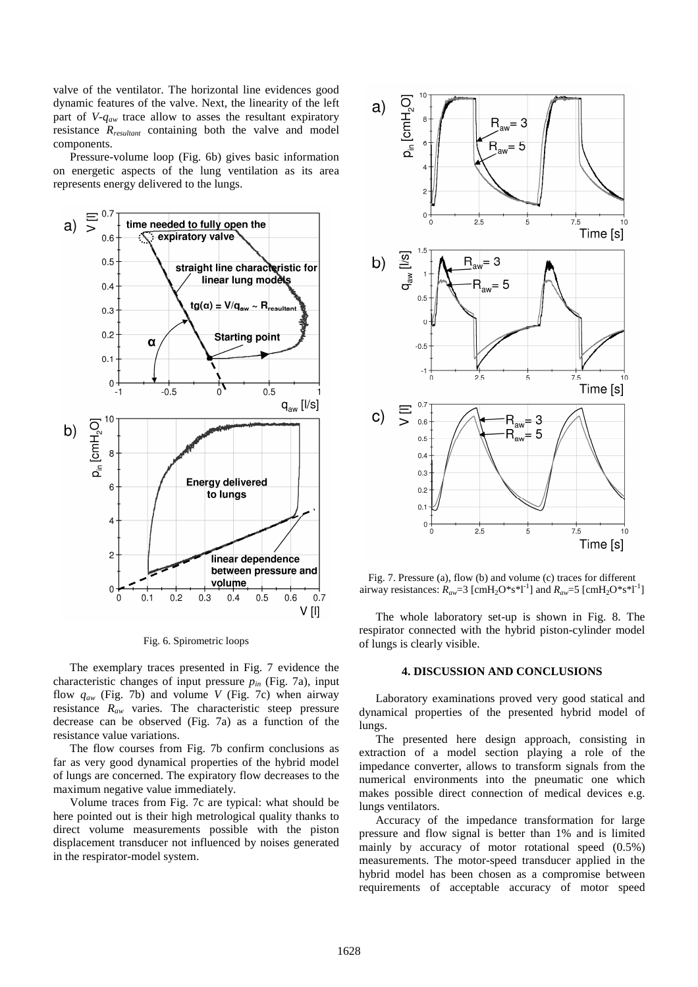valve of the ventilator. The horizontal line evidences good dynamic features of the valve. Next, the linearity of the left part of *V-qaw* trace allow to asses the resultant expiratory resistance *Rresultant* containing both the valve and model components.

Pressure-volume loop (Fig. 6b) gives basic information on energetic aspects of the lung ventilation as its area represents energy delivered to the lungs.



Fig. 6. Spirometric loops

The exemplary traces presented in Fig. 7 evidence the characteristic changes of input pressure *pin* (Fig. 7a), input flow *qaw* (Fig. 7b) and volume *V* (Fig. 7c) when airway resistance *Raw* varies. The characteristic steep pressure decrease can be observed (Fig. 7a) as a function of the resistance value variations.

The flow courses from Fig. 7b confirm conclusions as far as very good dynamical properties of the hybrid model of lungs are concerned. The expiratory flow decreases to the maximum negative value immediately.

Volume traces from Fig. 7c are typical: what should be here pointed out is their high metrological quality thanks to direct volume measurements possible with the piston displacement transducer not influenced by noises generated in the respirator-model system.



Fig. 7. Pressure (a), flow (b) and volume (c) traces for different airway resistances:  $R_{aw} = 3$  [cmH<sub>2</sub>O\*s<sup>\*</sup>l<sup>-1</sup>] and  $R_{aw} = 5$  [cmH<sub>2</sub>O\*s<sup>\*</sup>l<sup>-1</sup>]

The whole laboratory set-up is shown in Fig. 8. The respirator connected with the hybrid piston-cylinder model of lungs is clearly visible.

#### **4. DISCUSSION AND CONCLUSIONS**

Laboratory examinations proved very good statical and dynamical properties of the presented hybrid model of lungs.

The presented here design approach, consisting in extraction of a model section playing a role of the impedance converter, allows to transform signals from the numerical environments into the pneumatic one which makes possible direct connection of medical devices e.g. lungs ventilators.

Accuracy of the impedance transformation for large pressure and flow signal is better than 1% and is limited mainly by accuracy of motor rotational speed (0.5%) measurements. The motor-speed transducer applied in the hybrid model has been chosen as a compromise between requirements of acceptable accuracy of motor speed